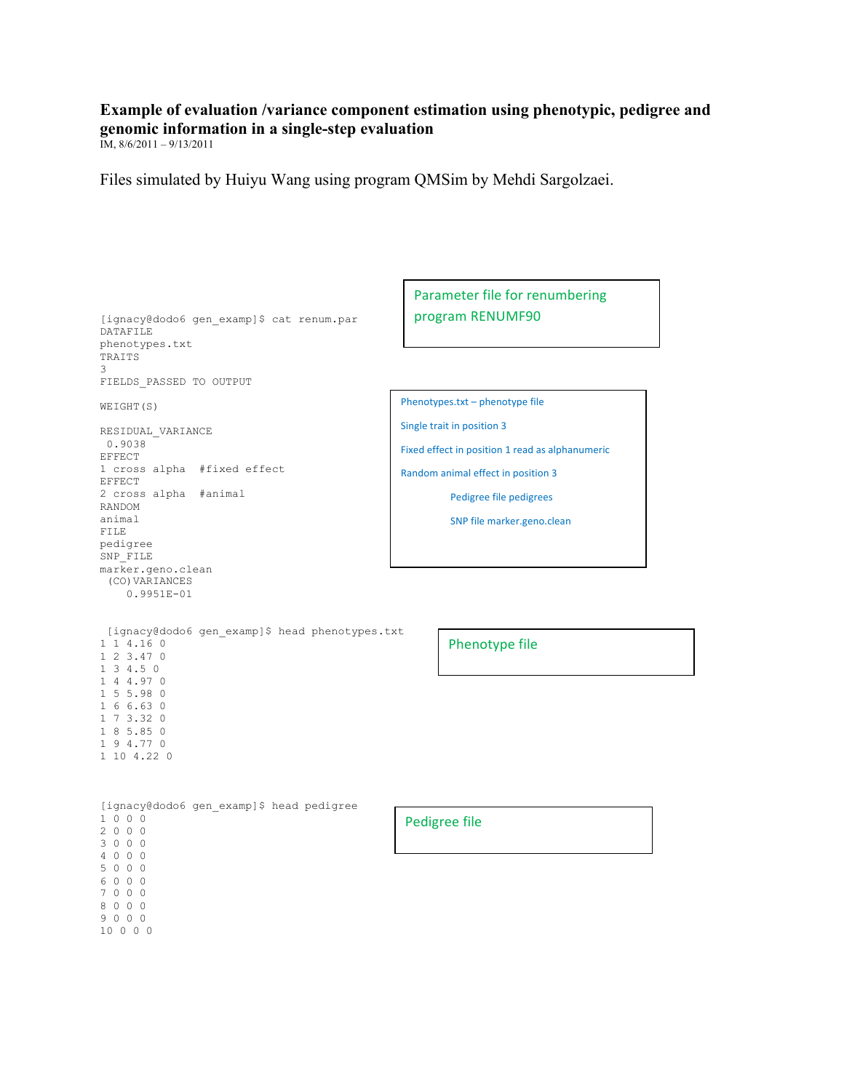## **Example of evaluation /variance component estimation using phenotypic, pedigree and genomic information in a single-step evaluation**

IM, 8/6/2011 – 9/13/2011

Files simulated by Huiyu Wang using program QMSim by Mehdi Sargolzaei.

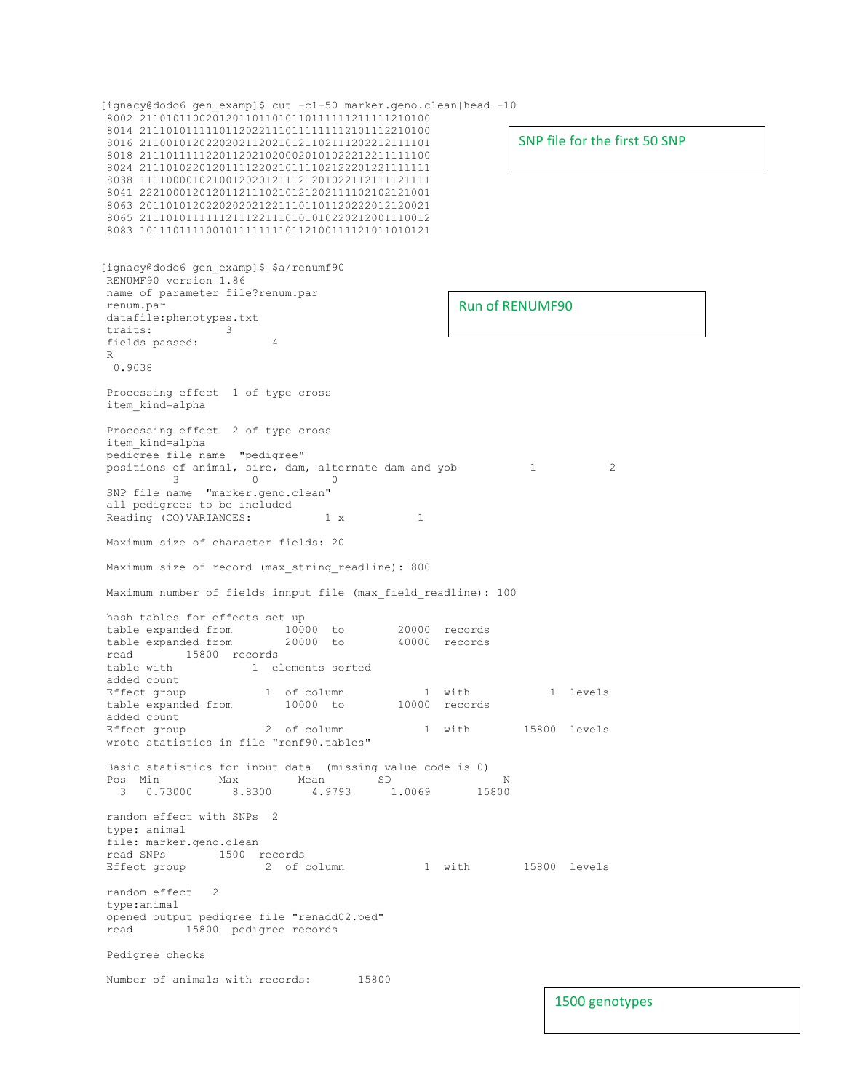[ignacy@dodo6 gen examp]\$ cut -c1-50 marker.geno.clean|head -10 8002 21101011002012011011010110111111211111210100 8014 21110101111101120221110111111112101112210100 8016 21100101202202021120210121102111202212111101 8018 21110111112201120210200020101022212211111100 8024 21110102201201111220210111102122201221111111 8038 11110000102100120201211121201022112111121111 8041 22210001201201121110210121202111102102121001 8063 20110101202202020212211101101120222012120021 8065 21110101111112111221110101010220212001110012 8083 10111011110010111111110112100111121011010121 [ignacy@dodo6 gen\_examp]\$ \$a/renumf90 RENUMF90 version 1.86 name of parameter file?renum.par renum.par datafile:phenotypes.txt traits: 3 fields passed: 4 R 0.9038 Processing effect 1 of type cross item\_kind=alpha Processing effect 2 of type cross item\_kind=alpha pedigree file name "pedigree" positions of animal, sire, dam, alternate dam and yob 1 2<br>3 0<br>0 3 0 0 SNP file name "marker.geno.clean" all pedigrees to be included Reading (CO)VARIANCES: 1 x 1 Maximum size of character fields: 20 Maximum size of record (max\_string\_readline): 800 Maximum number of fields innput file (max\_field\_readline): 100 hash tables for effects set up table expanded from 10000 to 20000 records<br>table expanded from 20000 to 40000 records table expanded from read 15800 records<br>table with 1 el 1 elements sorted added count<br>Effect group Effect group 1 of column 1 with 1 levels table expanded from 10000 to 10000 records added count Effect group 2 of column 1 with 15800 levels wrote statistics in file "renf90.tables" Basic statistics for input data (missing value code is 0)<br>
Pos Min Max Mean SD<br>
20 Pos Min Max Mean SD N  $3$  0.73000 8.8300 4.9793 1.0069 random effect with SNPs 2 type: animal file: marker.geno.clean read SNPs 1500 records<br>Effect group 1500 2 of column 1 with 15800 levels random effect 2 type:animal opened output pedigree file "renadd02.ped" read 15800 pedigree records Pedigree checks Number of animals with records: 15800 SNP file for the first 50 SNP Run of RENUMF90 1500 genotypes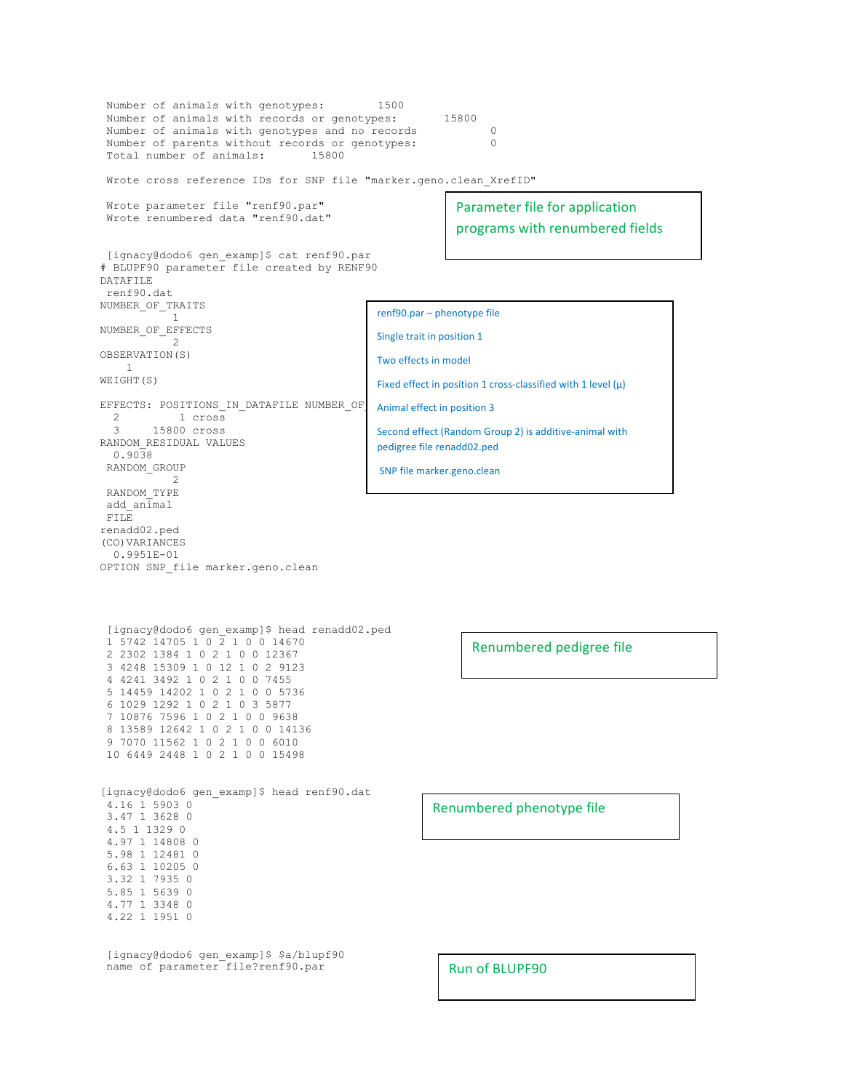```
Number of animals with genotypes: 1500
 Number of animals with records or genotypes: 15800
 Number of animals with genotypes and no records 0<br>Number of parents without records or genotypes: 0
Number of parents without records or genotypes:
Total number of animals: 15800
Wrote cross reference IDs for SNP file "marker.geno.clean XrefID"
 Wrote parameter file "renf90.par"
 Wrote renumbered data "renf90.dat"
[ignacy@dodo6 gen_examp]$ cat renf90.par
# BLUPF90 parameter file created by RENF90
DATAFILE
renf90.dat
NUMBER_OF_TRAITS
1NUMBER_OF_EFFECTS
 2
OBSERVATION(S)
    1
WEIGHT(S)
EFFECTS: POSITIONS IN DATAFILE NUMBER OF
  2 1 cross<br>3 15800 cross
         3 15800 cross 
RANDOM_RESIDUAL VALUES
  0.9038 
RANDOM_GROUP
 2
 RANDOM_TYPE
 add_animal
FILE
renadd02.ped 
(CO)VARIANCES
   0.9951E-01
OPTION SNP_file marker.geno.clean
 [ignacy@dodo6 gen_examp]$ head renadd02.ped
 1 5742 14705 1 0 2 1 0 0 14670
 2 2302 1384 1 0 2 1 0 0 12367
 3 4248 15309 1 0 12 1 0 2 9123
 4 4241 3492 1 0 2 1 0 0 7455
 5 14459 14202 1 0 2 1 0 0 5736
 6 1029 1292 1 0 2 1 0 3 5877
 7 10876 7596 1 0 2 1 0 0 9638
 8 13589 12642 1 0 2 1 0 0 14136
 9 7070 11562 1 0 2 1 0 0 6010
10 6449 2448 1 0 2 1 0 0 15498
[ignacy@dodo6 gen_examp]$ head renf90.dat
 4.16 1 5903 0
 3.47 1 3628 0
 4.5 1 1329 0
 4.97 1 14808 0
 5.98 1 12481 0
 6.63 1 10205 0
 3.32 1 7935 0
 5.85 1 5639 0
 4.77 1 3348 0
 4.22 1 1951 0
 [ignacy@dodo6 gen_examp]$ $a/blupf90
 name of parameter file?renf90.par
                                                          Parameter file for application
                                                          programs with renumbered fields
                                                            Renumbered pedigree file
                                                      Renumbered phenotype file
                                                         Run of BLUPF90
                                             renf90.par – phenotype file
                                             Single trait in position 1
                                             Two effects in model
                                             Fixed effect in position 1 cross-classified with 1 level (\mu)Animal effect in position 3
                                             Second effect (Random Group 2) is additive-animal with
                                             pedigree file renadd02.ped
                                             SNP file marker.geno.clean
```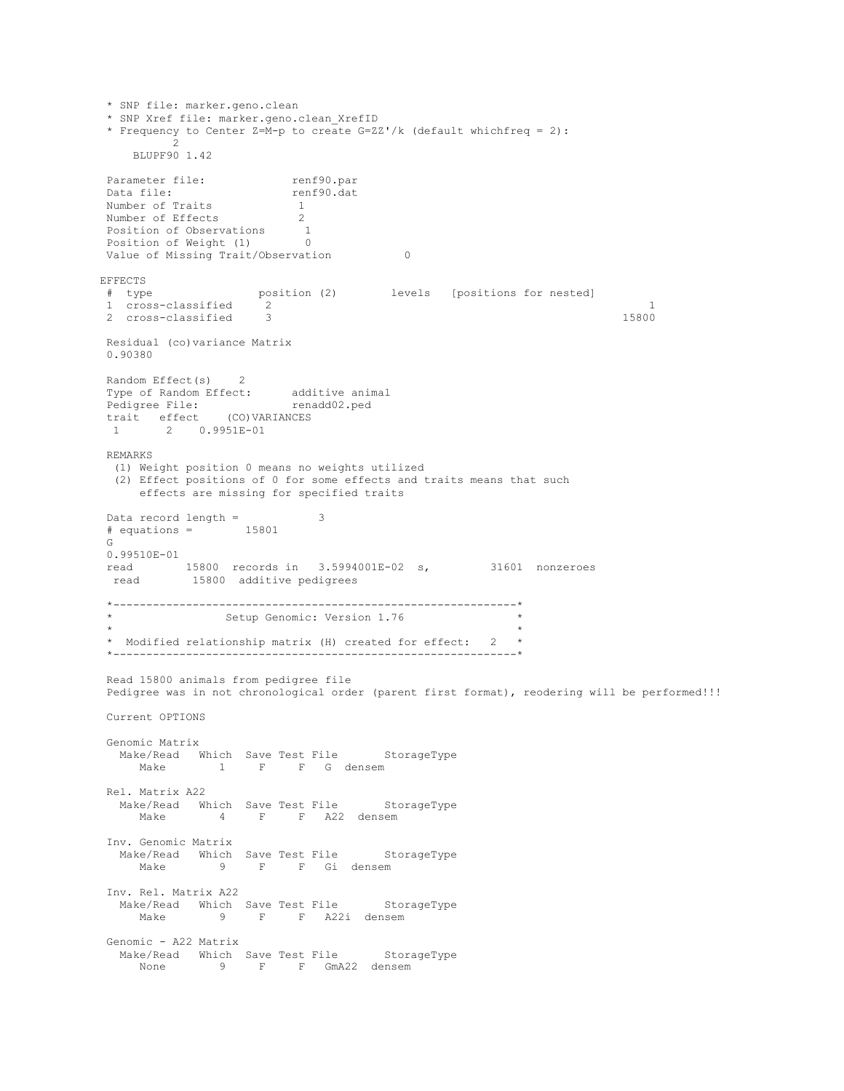```
* SNP file: marker.geno.clean
* SNP Xref file: marker.geno.clean_XrefID
* Frequency to Center Z=M-p to create G=ZZ'/k (default whichfreq = 2):
        \overline{2} BLUPF90 1.42
Parameter file: renf90.par
Data file: <br> renf90.dat<br> Number of Traits 1
Number of Traits 1
 Number of Effects 2
 Position of Observations 1
 Position of Weight (1) 0
Value of Missing Trait/Observation 0
EFFECTS
# type position (2) levels [positions for nested]
 1 cross-classified 2 1
 2 cross-classified 3 15800
Residual (co)variance Matrix
0.90380 
Random Effect(s) 2
Type of Random Effect: additive animal<br>
Pedigree File: renadd02.ped
 Pedigree File: renadd02.ped
 trait effect (CO)VARIANCES
  1 2 0.9951E-01
REMARKS
  (1) Weight position 0 means no weights utilized
  (2) Effect positions of 0 for some effects and traits means that such
     effects are missing for specified traits
 Data record length = 3
 # equations = 15801
G
0.99510E-01
 read 15800 records in 3.5994001E-02 s, 31601 nonzeroes
 read 15800 additive pedigrees
*-------------------------------------------------------------*
              Setup Genomic: Version 1.76
 \star \star* Modified relationship matrix (H) created for effect: 2 *
*-------------------------------------------------------------*
Read 15800 animals from pedigree file
Pedigree was in not chronological order (parent first format), reodering will be performed!!!
Current OPTIONS 
Genomic Matrix
 Make/Read Which Save Test File StorageType
    Make 1 F F G densem
Rel. Matrix A22
  Make/Read Which Save Test File StorageType<br>Make 4 F F A22 densem
           4 F F A22 densem
Inv. Genomic Matrix
Make/Read Which Save Test File StorageType
 Make 9 F F Gi densem
Inv. Rel. Matrix A22
  Make/Read Which Save Test File StorageType<br>Make 9 F F A22i densem
                 F F A22i densem
Genomic - A22 Matrix
  Make/Read Which Save Test File StorageType
    None 9 F F GmA22 densem
```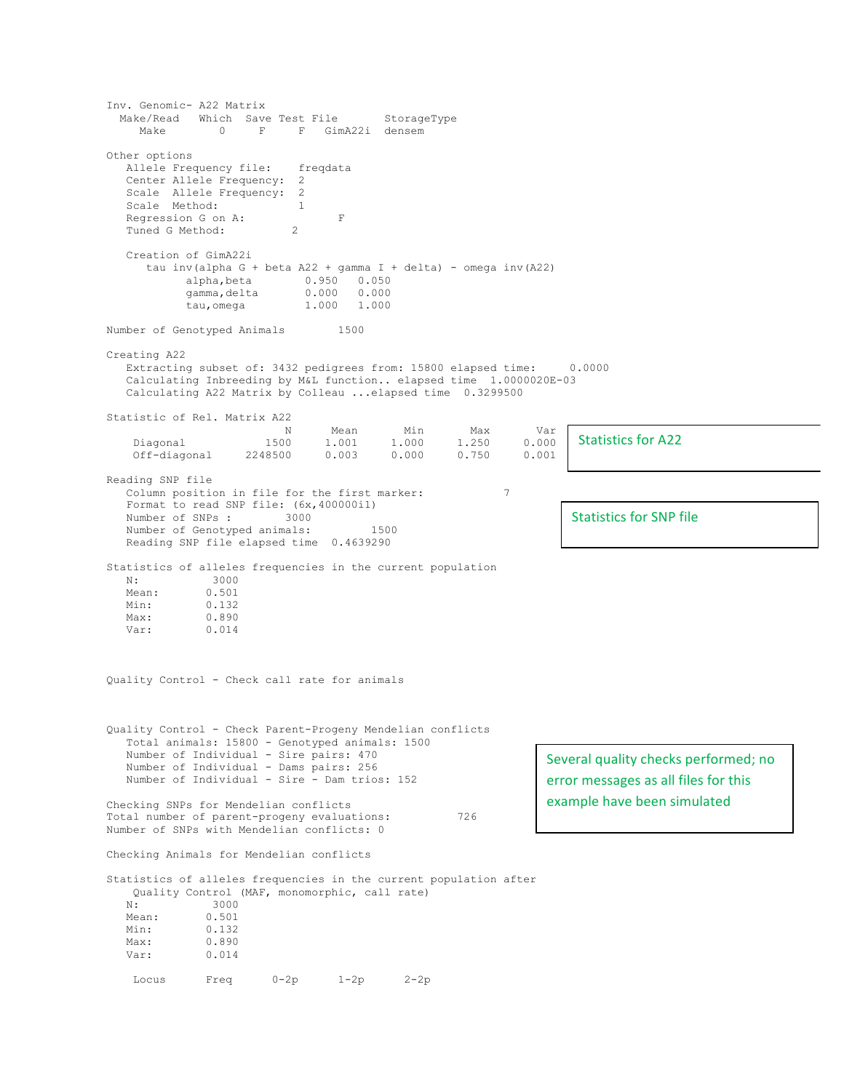Inv. Genomic- A22 Matrix Make/Read Which Save Test File StorageType Make 0 F F GimA22i densem Other options Allele Frequency file: freqdata Center Allele Frequency: 2 Scale Allele Frequency: 2<br>Scale Method: 1 Scale Method: Regression G on A: F<br>Tuned G Method: 2 Tuned G Method: 2 Creation of GimA22i tau inv(alpha G + beta A22 + gamma I + delta) - omega inv(A22) 0.950 0.050 gamma,delta 0.000 0.000 tau,omega 1.000 1.000 Number of Genotyped Animals 1500 Creating A22 Extracting subset of: 3432 pedigrees from: 15800 elapsed time: 0.0000 Calculating Inbreeding by M&L function.. elapsed time 1.0000020E-03 Calculating A22 Matrix by Colleau ...elapsed time 0.3299500 Statistic of Rel. Matrix A22 N Mean Min Max Var Diagonal 1500 1.001 1.000 1.250 0.000  $0.003$  0.000 Reading SNP file Column position in file for the first marker: 7 Format to read SNP file:  $(6x, 400000i1)$ <br>Number of SNPs : 3000 Number of SNPs : Number of Genotyped animals: 1500 Reading SNP file elapsed time 0.4639290 Statistics of alleles frequencies in the current population N: 3000 Mean: 0.501<br>Min: 0.132 0.132 Max: 0.890 Var: 0.014 Quality Control - Check call rate for animals Quality Control - Check Parent-Progeny Mendelian conflicts Total animals: 15800 - Genotyped animals: 1500 Number of Individual - Sire pairs: 470 Number of Individual - Dams pairs: 256 Number of Individual - Sire - Dam trios: 152 Checking SNPs for Mendelian conflicts Total number of parent-progeny evaluations: 726 Number of SNPs with Mendelian conflicts: 0 Checking Animals for Mendelian conflicts Statistics of alleles frequencies in the current population after Quality Control (MAF, monomorphic, call rate) N: 3000<br>Mean: 0.501 Mean: Min: 0.132 Max: 0.890 Var: 0.014 Locus Freq 0-2p 1-2p 2-2p Statistics for A22 Statistics for SNP file Several quality checks performed; no error messages as all files for this example have been simulated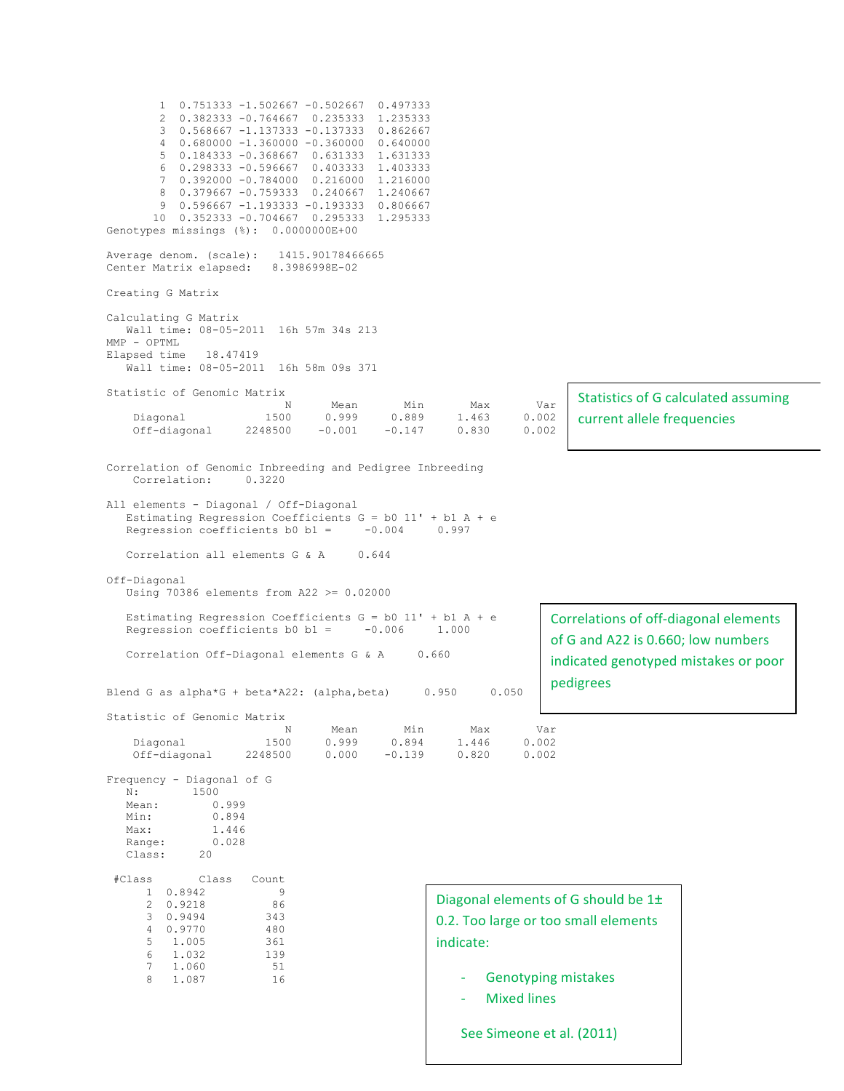1 0.751333 -1.502667 -0.502667 0.497333 2 0.382333 -0.764667 0.235333 1.235333 3 0.568667 -1.137333 -0.137333 0.862667 4 0.680000 -1.360000 -0.360000 0.640000 5 0.184333 -0.368667 0.631333 1.631333  $6$  0.298333 -0.596667 7 0.392000 -0.784000 0.216000 1.216000 8 0.379667 -0.759333 0.240667 1.240667 9 0.596667 -1.193333 -0.193333 0.806667 10 0.352333 -0.704667 0.295333 1.295333 Genotypes missings (%): 0.0000000E+00 Average denom. (scale): 1415.90178466665 Center Matrix elapsed: 8.3986998E-02 Creating G Matrix Calculating G Matrix Wall time: 08-05-2011 16h 57m 34s 213 MMP - OPTML Elapsed time 18.47419 Wall time: 08-05-2011 16h 58m 09s 371 Statistic of Genomic Matrix N Mean Min Max Var Diagonal 1500 0.999 0.889 1.463 0.002  $2248500 -0.001$ Correlation of Genomic Inbreeding and Pedigree Inbreeding Correlation: 0.3220 All elements - Diagonal / Off-Diagonal Estimating Regression Coefficients  $G = b0$  11' + b1 A + e Regression coefficients b0 b1 =  $-0.004$  0.997 Correlation all elements G & A 0.644 Off-Diagonal Using 70386 elements from A22 >= 0.02000 Estimating Regression Coefficients  $G = b0$  11' + b1 A + e<br>Regression coefficients b0 b1 = -0.006 1.000 Regression coefficients b0 b1 =  $-0.006$ Correlation Off-Diagonal elements G & A 0.660 Blend G as alpha\*G + beta\*A22: (alpha, beta)  $0.950$  0.050 Statistic of Genomic Matrix N Mean Min Max Var<br>1500 0.999 0.894 1.446 0.002 0.999 0.894 1.446<br>0ff-diagonal 2248500 0.000 -0.139 0.820 Off-diagonal 2248500 0.000 -0.139 0.820 0.002 Frequency - Diagonal of G N: 1500 Mean: 0.999<br>Min: 0.894 Min: 0.894 Max: 1.446 Range: 0.028<br>Class: 20 Class: #Class Class Count 1 0.8942 9 2 0.9218 86 3 0.9494 4 0.9770 480 5 1.005 361 6 1.032 139 7 1.060 51 8 1.087 16 Statistics of G calculated assuming current allele frequencies Correlations of off-diagonal elements of G and A22 is 0.660; low numbers indicated genotyped mistakes or poor pedigrees Diagonal elements of G should be 1± 0.2. Too large or too small elements indicate: Genotyping mistakes - Mixed lines See Simeone et al. (2011)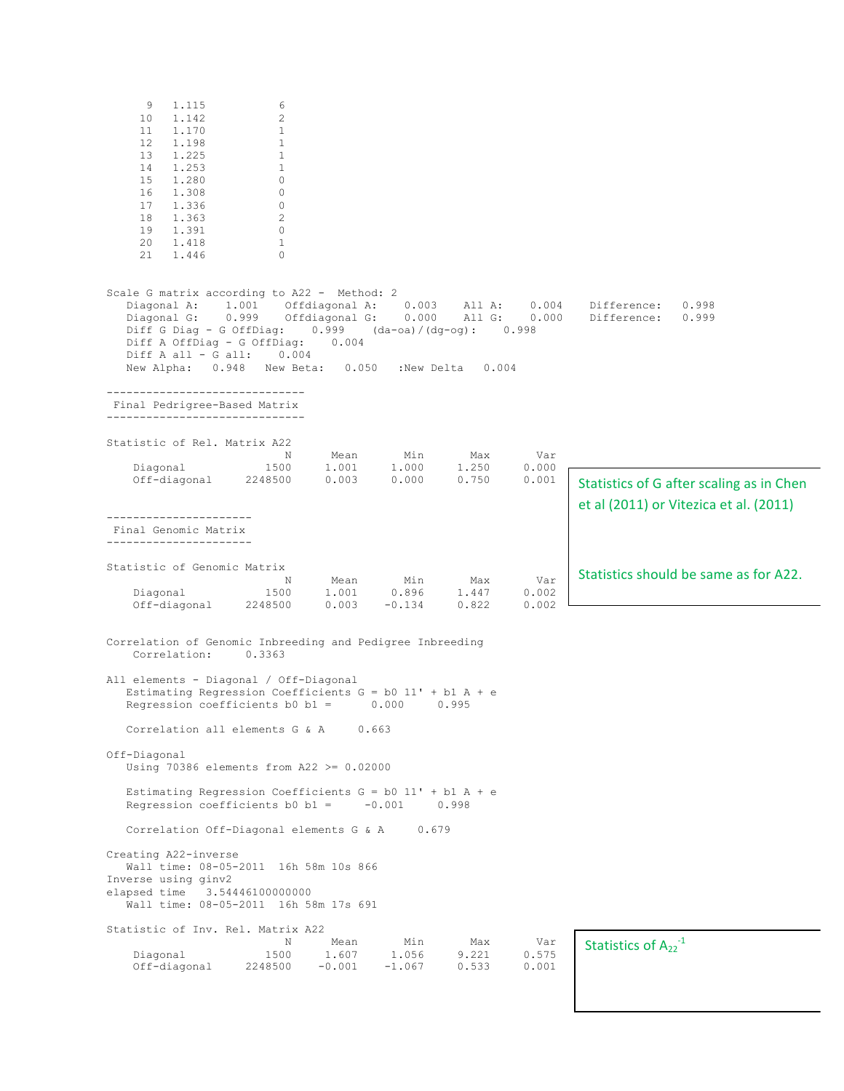| 9<br>1.115<br>6<br>10<br>1.142<br>2<br>11<br>1.170<br>$\mathbf{1}$<br>12<br>1.198<br>$\mathbf{1}$<br>13<br>1.225<br>$\mathbf{1}$<br>14<br>1.253<br>$\mathbf{1}$<br>15<br>1,280<br>0<br>16<br>1.308<br>0<br>17<br>1.336<br>0<br>18<br>1.363<br>2<br>19<br>1.391<br>$\mathbf{0}$<br>20<br>1.418<br>$\mathbf{1}$<br>21<br>$\Omega$<br>1.446 |                                                             |                                                  |                           |                         |                                                                                    |
|------------------------------------------------------------------------------------------------------------------------------------------------------------------------------------------------------------------------------------------------------------------------------------------------------------------------------------------|-------------------------------------------------------------|--------------------------------------------------|---------------------------|-------------------------|------------------------------------------------------------------------------------|
| Scale G matrix according to A22 - Method: 2<br>Diagonal A:<br>1.001<br>0.999<br>Diagonal G:<br>Diff G Diag - G OffDiag:<br>Diff A OffDiag - G OffDiag:<br>Diff A all - G all:<br>0.004<br>New Alpha: 0.948<br>New Beta:                                                                                                                  | Offdiagonal A:<br>Offdiagonal G:<br>0.999<br>0.004<br>0.050 | 0.003<br>0.000<br>(da-oa)/(dq-og):<br>:New Delta | All A:<br>All G:<br>0.004 | 0.004<br>0.000<br>0.998 | Difference:<br>0.998<br>Difference:<br>0.999                                       |
| ----------------------<br>Final Pedrigree-Based Matrix                                                                                                                                                                                                                                                                                   |                                                             |                                                  |                           |                         |                                                                                    |
| Statistic of Rel. Matrix A22<br>Ν<br>Diagonal<br>1500                                                                                                                                                                                                                                                                                    | Mean<br>1,001                                               | Min<br>1,000                                     | Max<br>1,250              | Var<br>0.000            |                                                                                    |
| Off-diagonal<br>2248500                                                                                                                                                                                                                                                                                                                  | 0.003                                                       | 0.000                                            | 0.750                     | 0.001                   | Statistics of G after scaling as in Chen<br>et al (2011) or Vitezica et al. (2011) |
| Final Genomic Matrix<br>-----------------------                                                                                                                                                                                                                                                                                          |                                                             |                                                  |                           |                         |                                                                                    |
| Statistic of Genomic Matrix<br>N<br>Diagonal<br>1500                                                                                                                                                                                                                                                                                     | Mean<br>1.001                                               | Min<br>0.896                                     | Max<br>1.447              | Var<br>0.002            | Statistics should be same as for A22.                                              |
| Off-diagonal<br>2248500                                                                                                                                                                                                                                                                                                                  | 0.003                                                       | $-0.134$                                         | 0.822                     | 0.002                   |                                                                                    |
| Correlation of Genomic Inbreeding and Pedigree Inbreeding<br>Correlation:<br>0.3363                                                                                                                                                                                                                                                      |                                                             |                                                  |                           |                         |                                                                                    |
| All elements - Diagonal / Off-Diagonal<br>Estimating Regression Coefficients $G = b0$ 11' + b1 A + e<br>Regression coefficients $b0 b1 =$<br>0.000<br>0.995                                                                                                                                                                              |                                                             |                                                  |                           |                         |                                                                                    |
| Correlation all elements G & A<br>0.663                                                                                                                                                                                                                                                                                                  |                                                             |                                                  |                           |                         |                                                                                    |
| Off-Diagonal<br>Using 70386 elements from $A22 \ge 0.02000$                                                                                                                                                                                                                                                                              |                                                             |                                                  |                           |                         |                                                                                    |
| Estimating Regression Coefficients $G = b0$ 11' + b1 A + e<br>Regression coefficients $b0 b1 =$<br>$-0.001$<br>0.998                                                                                                                                                                                                                     |                                                             |                                                  |                           |                         |                                                                                    |
| Correlation Off-Diagonal elements G & A<br>0.679                                                                                                                                                                                                                                                                                         |                                                             |                                                  |                           |                         |                                                                                    |
| Creating A22-inverse<br>Wall time: 08-05-2011 16h 58m 10s 866<br>Inverse using ginv2<br>elapsed time 3.54446100000000<br>Wall time: 08-05-2011 16h 58m 17s 691                                                                                                                                                                           |                                                             |                                                  |                           |                         |                                                                                    |
| Statistic of Inv. Rel. Matrix A22<br>N<br>1500<br>Diagonal<br>Off-diagonal<br>2248500                                                                                                                                                                                                                                                    | Mean<br>1.607<br>$-0.001$                                   | Min<br>1.056<br>$-1.067$                         | Max<br>9.221<br>0.533     | Var<br>0.575<br>0.001   | Statistics of $A_{22}$ <sup>-1</sup>                                               |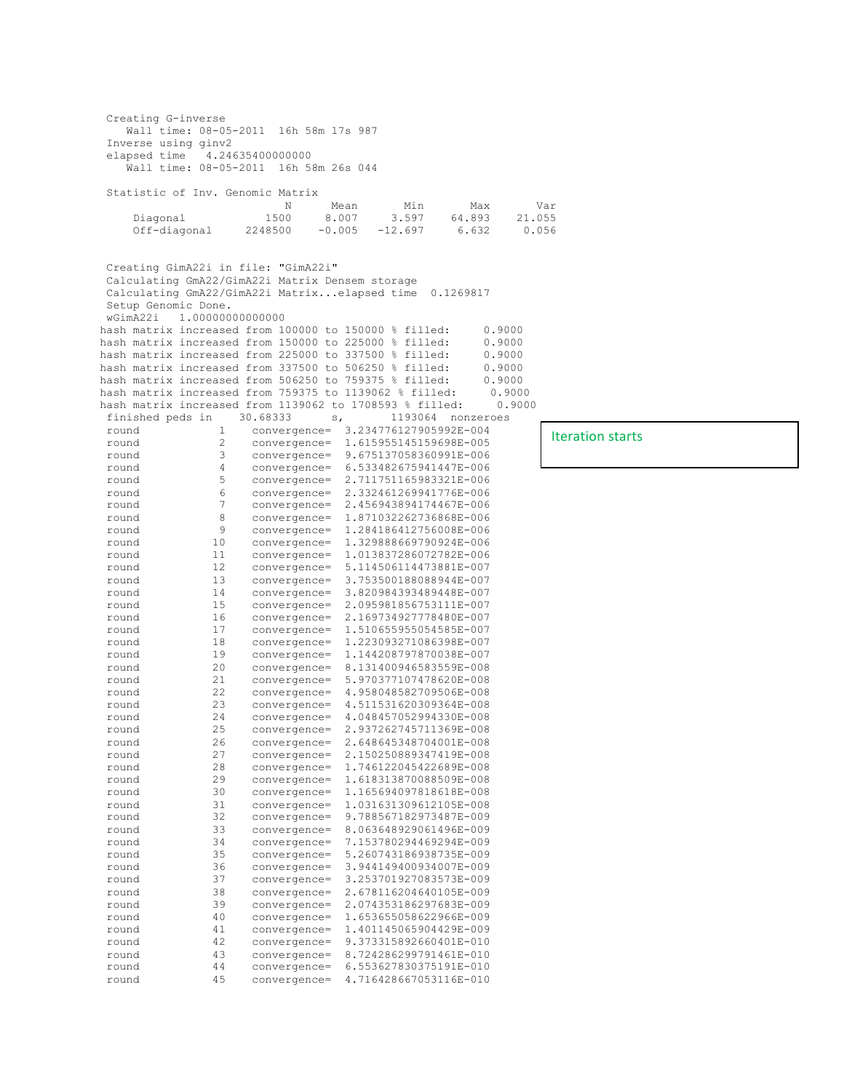Creating G-inverse Wall time: 08-05-2011 16h 58m 17s 987 Inverse using ginv2 elapsed time 4.24635400000000 Wall time: 08-05-2011 16h 58m 26s 044 Statistic of Inv. Genomic Matrix N Mean Min Max Var Diagonal 1500 8.007 3.597 64.893 21.055<br>Off-diagonal 2248500 -0.005 -12.697 6.632 0.056  $-0.005 -12.697$ Creating GimA22i in file: "GimA22i" Calculating GmA22/GimA22i Matrix Densem storage Calculating GmA22/GimA22i Matrix...elapsed time 0.1269817 Setup Genomic Done. wGimA22i 1.00000000000000 hash matrix increased from 100000 to 150000 % filled: 0.9000 hash matrix increased from 150000 to 225000 % filled: 0.9000 hash matrix increased from 150000 to 225000 % filled: 0.9000<br>hash matrix increased from 225000 to 337500 % filled: 0.9000 hash matrix increased from 225000 to 337500 % filled: hash matrix increased from 337500 to 506250 % filled: 0.9000 hash matrix increased from 506250 to 759375 % filled: 0.9000 hash matrix increased from 759375 to 1139062 % filled: 0.9000 hash matrix increased from 759375 to 1139062 % filled: 0.9000<br>hash matrix increased from 1139062 to 1708593 % filled: 0.9000 hash matrix increased from 1139062 to 1708593  $\frac{1}{8}$  filled:<br>finished peds in 30.68333 s, 1193064 nor finished peds in 30.68333 s, 1193064 nonzeroes round 1 convergence= 3.234776127905992E-004 round 2 convergence= 1.615955145159698E-005 round 3 convergence= 9.675137058360991E-006 round 4 convergence= 6.533482675941447E-006 round 5 convergence= 2.711751165983321E-006 round 6 convergence= 2.332461269941776E-006 round 7 convergence= 2.456943894174467E-006 round 8 convergence= 1.871032262736868E-006 round 9 convergence= 1.284186412756008E-006<br>round 10 convergence= 1.329888669790924E-006 round 10 convergence= 1.329888669790924E-006 round 11 convergence= 1.013837286072782E-006 12 convergence= 5.114506114473881E-007<br>13 convergence= 3.753500188088944E-007 round 13 convergence= 3.753500188088944E-007 round 14 convergence= 3.820984393489448E-007<br>round 15 convergence= 2.095981856753111E-007<br>round 16 convergence= 2.169734927778480E-007 round 15 convergence= 2.095981856753111E-007 round 16 convergence= 2.169734927778480E-007 round 17 convergence= 1.510655955054585E-007 round 18 convergence= 1.223093271086398E-007 round 19 convergence= 1.144208797870038E-007 round 20 convergence= 8.131400946583559E-008 round 21 convergence= 5.970377107478620E-008 22 convergence= 4.958048582709506E-008<br>23 convergence= 4.511531620309364E-008 round 23 convergence= 4.511531620309364E-008 round 24 convergence= 4.048457052994330E-008 round 25 convergence= 2.937262745711369E-008 round 26 convergence= 2.648645348704001E-008 round 27 convergence= 2.150250889347419E-008 round 28 convergence= 1.746122045422689E-008 round 29 convergence= 1.618313870088509E-008 round 30 convergence= 1.165694097818618E-008 round 31 convergence= 1.031631309612105E-008 round 32 convergence= 9.788567182973487E-009 round 33 convergence= 8.063648929061496E-009 round 34 convergence= 7.153780294469294E-009 35 convergence= 5.260743186938735E-009<br>36 convergence= 3.944149400934007E-009 round 36 convergence= 3.944149400934007E-009 round 37 convergence= 3.253701927083573E-009 round 38 convergence= 2.678116204640105E-009 round 39 convergence= 2.074353186297683E-009 round 40 convergence= 1.653655058622966E-009 round 41 convergence= 1.401145065904429E-009 round 42 convergence= 9.373315892660401E-010<br>round 43 convergence= 8.724286299791461E-010 round 43 convergence= 8.724286299791461E-010 round 44 convergence= 6.553627830375191E-010 round 45 convergence= 4.716428667053116E-010

Iteration starts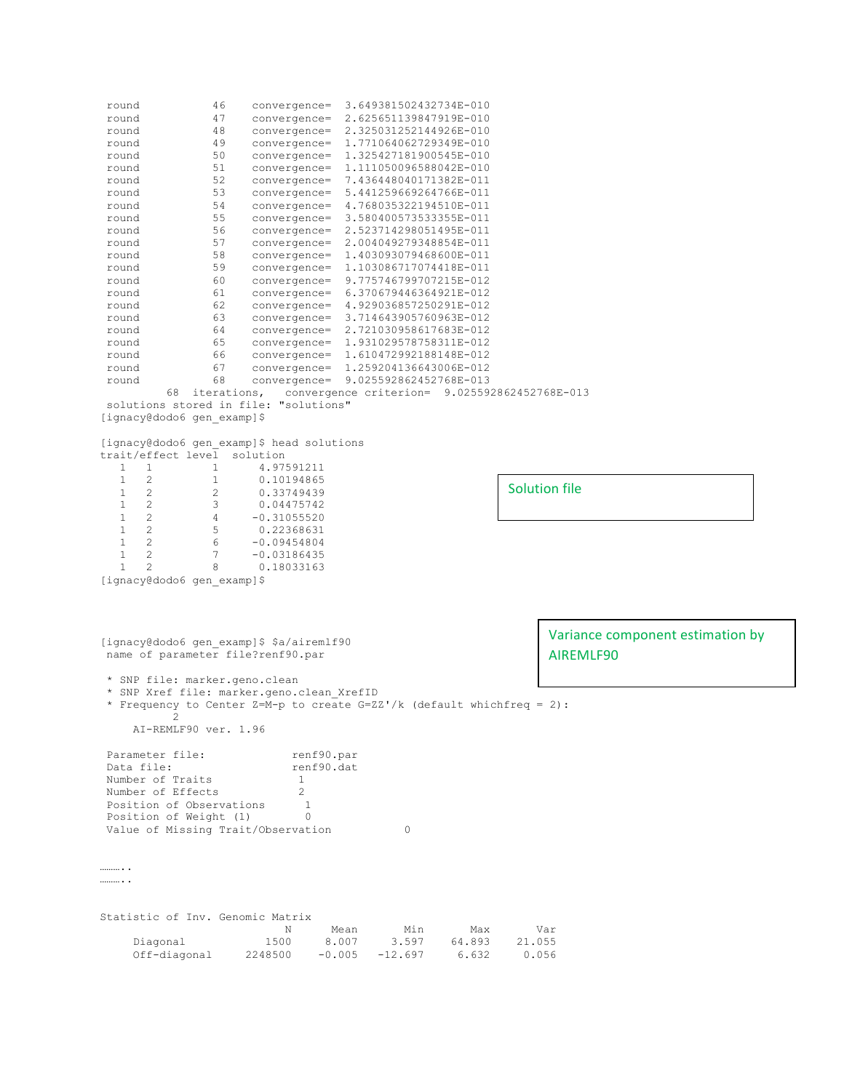round 46 convergence= 3.649381502432734E-010 round 47 convergence= 2.625651139847919E-010 round 48 convergence= 2.325031252144926E-010 round 49 convergence= 1.771064062729349E-010 round 50 convergence= 1.325427181900545E-010 round 51 convergence= 1.111050096588042E-010 round 52 convergence= 7.436448040171382E-011 round 53 convergence= 5.441259669264766E-011 round 54 convergence= 4.768035322194510E-011 round 55 convergence= 3.580400573533355E-011 round 56 convergence= 2.523714298051495E-011 round 57 convergence= 2.004049279348854E-011 round 58 convergence= 1.403093079468600E-011 round 59 convergence= 1.103086717074418E-011 round 60 convergence= 9.775746799707215E-012 round 61 convergence= 6.370679446364921E-012 round 62 convergence= 4.929036857250291E-012 round 63 convergence= 3.714643905760963E-012 round 64 convergence= 2.721030958617683E-012 round 65 convergence= 1.931029578758311E-012 round 66 convergence= 1.610472992188148E-012 round 67 convergence= 1.259204136643006E-012 round 68 convergence= 9.025592862452768E-013 68 iterations, convergence criterion= 9.025592862452768E-013 solutions stored in file: "solutions" [ignacy@dodo6 gen\_examp]\$ [ignacy@dodo6 gen examp]\$ head solutions trait/effect level solution<br>
1 1 4.97!<br>
1 2 1 0.10!<br>
1 2 2 0.33  $\begin{array}{cccccc} 1 & 1 & 1 & 4.97591211 \\ 1 & 2 & 1 & 0.10194865 \end{array}$ 2 1 0.10194865<br>2 2 0.33749439  $\begin{array}{cccc} 1 & 2 & 2 & 0.33749439 \\ 1 & 2 & 3 & 0.04475742 \end{array}$  $\begin{array}{cccc} 1 & 2 & 3 & 0.04475742 \\ 1 & 2 & 4 & -0.31055520 \\ 1 & 2 & 5 & 0.22368631 \end{array}$  $-0.31055520$  $1 2 5 0.22368631$ <br> $1 2 6 -0.09454804$ 1 2 6 -0.09454804<br>1 2 7 -0.03186435  $\begin{array}{cccc} 1 & 2 & 7 & -0.03186435 \\ 1 & 2 & 8 & 0.18033163 \end{array}$ 0.18033163 [ignacy@dodo6 gen\_examp]\$ [ignacy@dodo6 gen\_examp]\$ \$a/airemlf90 name of parameter file?renf90.par \* SNP file: marker.geno.clean \* SNP Xref file: marker.geno.clean\_XrefID \* Frequency to Center Z=M-p to create  $G=ZZ'/k$  (default whichfreq = 2): 2 AI-REMLF90 ver. 1.96 Parameter file: renf90.par<br>
Data file: renf90.dat Data file: Number of Traits 1 Number of Effects 2<br>Position of Observations 1<br>Position of Weight (1) 0 Position of Observations Position of Weight (1) 0 Value of Missing Trait/Observation 0 ……….. ……… Statistic of Inv. Genomic Matrix N Mean Min Max Var Diagonal 1500 8.007 3.597 64.893 21.055 Off-diagonal 2248500 -0.005 -12.697 6.632 0.056 Solution file Variance component estimation by AIREMLF90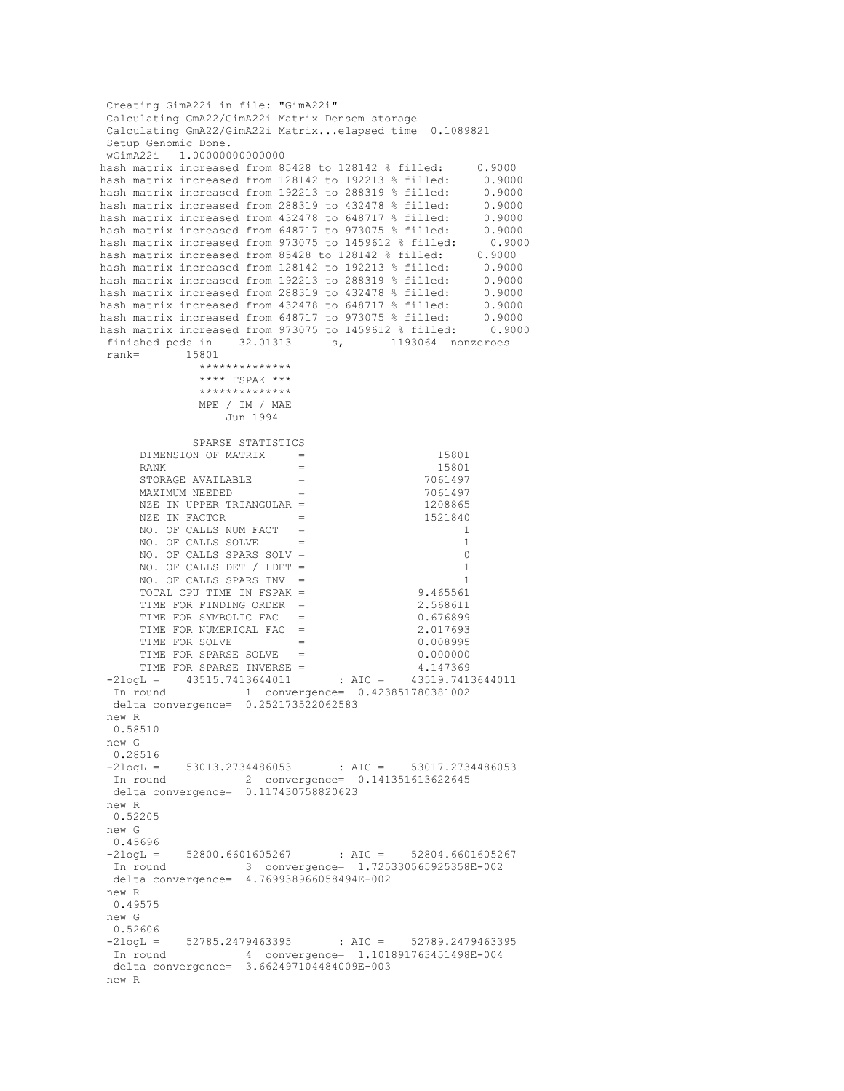Creating GimA22i in file: "GimA22i" Calculating GmA22/GimA22i Matrix Densem storage Calculating GmA22/GimA22i Matrix...elapsed time 0.1089821 Setup Genomic Done. wGimA22i 1.00000000000000 hash matrix increased from 85428 to 128142 % filled: 0.9000<br>hash matrix increased from 128142 to 192213 % filled: 0.9000<br>hash matrix increased from 192213 to 288319 % filled: 0.9000 hash matrix increased from 128142 to 192213 % filled: hash matrix increased from 192213 to 288319 % filled: 0.9000<br>hash matrix increased from 288319 to 432478 % filled: 0.9000 hash matrix increased from 288319 to 432478 % filled: 0.9000<br>hash matrix increased from 432478 to 648717 % filled: 0.9000 hash matrix increased from 432478 to 648717 % filled: 0.9000<br>hash matrix increased from 648717 to 973075 % filled: 0.9000 hash matrix increased from 648717 to 973075 % filled: 0.9000<br>hash matrix increased from 973075 to 1459612 % filled: 0.9000 hash matrix increased from 973075 to 1459612 % filled: 0.90<br>hash matrix increased from 85428 to 128142 % filled: 0.9000 hash matrix increased from 85428 to 128142 % filled: 0.9000<br>hash matrix increased from 128142 to 192213 % filled: 0.9000<br>hash matrix increased from 192213 to 288319 % filled: 0.9000 hash matrix increased from 128142 to 192213 % filled: hash matrix increased from 192213 to 288319 % filled: 0.9000<br>hash matrix increased from 288319 to 432478 % filled: 0.9000 hash matrix increased from 288319 to 432478 % filled: hash matrix increased from 432478 to 648717 % filled: 0.9000<br>hash matrix increased from 648717 to 973075 % filled: 0.9000 hash matrix increased from 648717 to 973075 % filled: hash matrix increased from 973075 to 1459612 % filled: 0.9000<br>finished peds in 32.01313 s, 1193064 nonzeroes 1193064 nonzeroes rank= 15801 \*\*\*\*\*\*\*\*\*\*\*\*\*\* \*\*\*\* FSPAK \*\*\* \*\*\*\*\*\*\*\*\*\*\*\*\*\* MPE / IM / MAE Jun 1994 SPARSE STATISTICS DIMENSION OF MATRIX  $=$  15801<br>PANK  $=$  15801  $RANK =$  15801 STORAGE AVAILABLE  $=$  7061497  $MAXIMUM NEEDED$  = 7061497<br>  $NZE IN UPPER TRIANGULAR$  = 1208865 NZE IN UPPER TRIANGULAR =  $1208865$ <br>NZE IN FACTOR =  $1521840$ NZE IN FACTOR NO. OF CALLS NUM FACT = 1<br>NO. OF CALLS SOLVE = 1 NO. OF CALLS SOLVE  $=$  1<br>NO OF CALLS SPARS SOLV = 0 NO. OF CALLS SPARS SOLV = 0<br>NO. OF CALLS DET / LDET = 0 NO. OF CALLS DET / LDET = NO. OF CALLS SPARS INV =  $1$ <br>TOTAL CPU TIME IN FSPAK =  $9.465561$  TOTAL CPU TIME IN FSPAK = 9.465561 TIME FOR FINDING ORDER = TIME FOR SYMBOLIC FAC = 0.676899<br>TIME FOR NUMERICAL FAC = 0.017693 TIME FOR NUMERICAL FAC =  $TIME FOR SOLVF = 2.01933$  $\begin{array}{ccc}\n\texttt{TIME FOR SOLVE} & = & 0.008995 \\
\texttt{TIME FOR SPARSE SOLVE} & = & 0.000000\n\end{array}$ TIME FOR SPARSE SOLVE = 0.000000 TIME FOR SPARSE INVERSE = 4.147369 -2logL = 43515.7413644011 : AIC = 43519.7413644011 In round 1 convergence= 0.423851780381002 delta convergence= 0.252173522062583 new R 0.58510 new G 0.28516  $-2logL = 53013.2734486053$  : AIC = 53017.2734486053 In round 2 convergence= 0.141351613622645 delta convergence= 0.117430758820623 new R 0.52205 new G 0.45696  $-2logL = 52800.6601605267$  : AIC = 52804.6601605267<br>In round 3 convergence= 1.725330565925358F-002 In round 3 convergence= 1.725330565925358E-002 delta convergence= 4.769938966058494E-002 new R 0.49575 new G  $0.52606$ <br>-2logL = 52785.2479463395 -2logL = 52785.2479463395 : AIC = 52789.2479463395 In round 4 convergence= 1.101891763451498E-004 delta convergence= 3.662497104484009E-003 new R